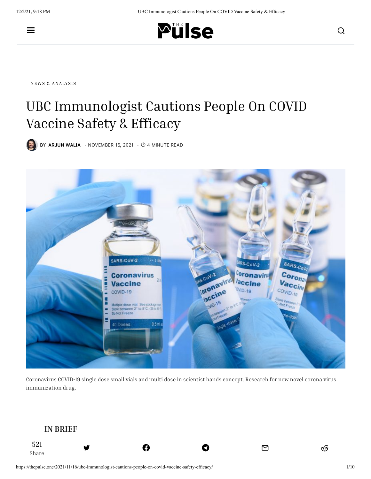

NEWS & [ANALYSIS](https://thepulse.one/category/news-analysis/)

# UBC Immunologist Cautions People On COVID Vaccine Safety & Efficacy

 $\bullet$  BY [ARJUN](https://thepulse.one/author/arjunw/) WALIA  $\cdot$  NOVEMBER 16, 2021  $\cdot$   $\circ$  4 MINUTE READ



Coronavirus COVID-19 single dose small vials and multi dose in scientist hands concept. Research for new novel corona virus immunization drug.

त्र अपनी अधिका छ । अस्ति । अस्ति । अस्ति । अस्ति । अस्ति । अस्ति । अस्ति । अस्ति । अस्ति । अस्ति । अस्ति । अस्<br>स्रोतिका । अस्ति । अस्ति । अस्ति । अस्ति । अस्ति । अस्ति । अस्ति । अस्ति । अस्ति । अस्ति । अस्ति । अस्ति । अस

#### **IN BRIEF**

Share

521

**The [Facts:](https://twitter.com/share?&text=UBC%20Immunologist%20Cautions%20People%20On%20COVID%20Vaccine%20Safety%20%26%20Efficacy&via=ThePulse_one&url=https://thepulse.one/2021/11/16/ubc-immunologist-cautions-people-on-covid-vaccine-safety-efficacy/)**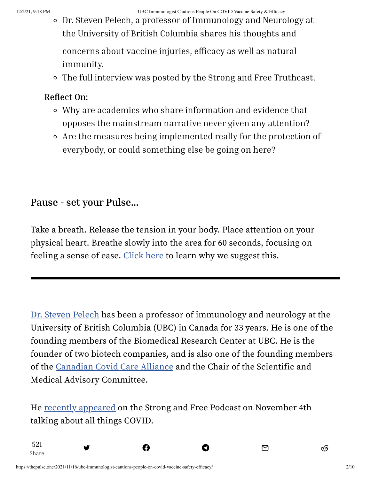12/2/21, 9:18 PM UBC Immunologist Cautions People On COVID Vaccine Safety & Efficacy

Dr. Steven Pelech, a professor of Immunology and Neurology at the University of British Columbia shares his thoughts and

concerns about vaccine injuries, efficacy as well as natural immunity.

The full interview was posted by the Strong and Free Truthcast.

#### **Reflect On:**

- Why are academics who share information and evidence that opposes the mainstream narrative never given any attention?
- Are the measures being implemented really for the protection of everybody, or could something else be going on here?

### **Pause - set your Pulse...**

Take a breath. Release the tension in your body. Place attention on your physical heart. Breathe slowly into the area for 60 seconds, focusing on feeling a sense of ease. [Click](https://thepulse.one/a-new-media-approach-for-improved-sense-making-through-physiological-coherence/) here to learn why we suggest this.

Dr. Steven [Pelech](https://neurology.med.ubc.ca/faculty-listing/academic/dr-steven-pelech/) has been a professor of immunology and neurology at the University of British Columbia (UBC) in Canada for 33 years. He is one of the founding members of the Biomedical Research Center at UBC. He is the founder of two biotech companies, and is also one of the founding members of the [Canadian](https://www.canadiancovidcarealliance.org/) Covid Care Alliance and the Chair of the Scientific and Medical Advisory Committee.

He recently [appeared](https://www.canadiancovidcarealliance.org/media-resources/a-deep-dive-into-the-real-facts-about-natural-immunity-immunologist-dr-steven-pelech/) on the Strong and Free Podcast on November 4th talking about all things COVID.

**Sign up to [our](https://twitter.com/share?&text=UBC%20Immunologist%20Cautions%20People%20On%20COVID%20Vaccine%20Safety%20%26%20Efficacy&via=ThePulse_one&url=https://thepulse.one/2021/11/16/ubc-immunologist-cautions-people-on-covid-vaccine-safety-efficacy/) ne[wsletter](https://www.facebook.com/sharer.php?u=https://thepulse.one/2021/11/16/ubc-immunologist-cautions-people-on-covid-vaccine-safety-efficacy/) Big Tech [censors](https://t.me/share/url?&text=UBC%20Immunologist%20Cautions%20People%20On%20COVID%20Vaccine%20Safety%20%26%20Efficacy&url=https://thepulse.one/2021/11/16/ubc-immunologist-cautions-people-on-covid-vaccine-safety-efficacy/) [independent](mailto:?subject=UBC%20Immunologist%20Cautions%20People%20On%20COVID%20Vaccine%20Safety%20%26%20Efficacy&body=UBC%20Immunologist%20Cautions%20People%20On%20COVID%20Vaccine%20Safety%20%26%20Efficacy%20https://thepulse.one/2021/11/16/ubc-immunologist-cautions-people-on-covid-vaccine-safety-efficacy/) [media,](http://www.reddit.com/submit?url=https://thepulse.one/2021/11/16/ubc-immunologist-cautions-people-on-covid-vaccine-safety-efficacy/) stay**

त्र अपनी अधिका छ । अस्ति । अस्ति । अस्ति । अस्ति । अस्ति । अस्ति । अस्ति । अस्ति । अस्ति । अस्ति । अस्ति । अस्<br>स्रोतिका । अस्ति । अस्ति । अस्ति । अस्ति । अस्ति । अस्ति । अस्ति । अस्ति । अस्ति । अस्ति । अस्ति । अस्ति । अस

Share

521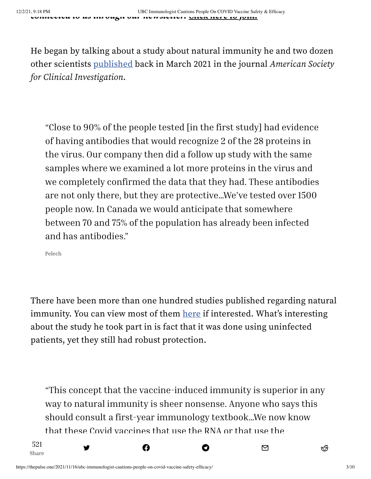He began by talking about a study about natural immunity he and two dozen other scientists [published](https://insight.jci.org/articles/view/146316) back in March 2021 in the journal American Society for Clinical Investigation.

"Close to 90% of the people tested [in the first study] had evidence of having antibodies that would recognize 2 of the 28 proteins in the virus. Our company then did a follow up study with the same samples where we examined a lot more proteins in the virus and we completely confirmed the data that they had. These antibodies are not only there, but they are protective…We've tested over 1500 people now. In Canada we would anticipate that somewhere between 70 and 75% of the population has already been infected and has antibodies."

Pelech

Share

521

There have been more than one hundred studies published regarding natural immunity. You can view most of them [here](https://thepulse.one/2021/11/08/a-list-of-106-peer-reviewed-studies-affirming-the-power-of-natural-covid-immunity/) if interested. What's interesting about the study he took part in is fact that it was done using uninfected patients, yet they still had robust protection.

"This concept that the vaccine-induced immunity is superior in any way to natural immunity is sheer nonsense. Anyone who says this should consult a first-year immunology textbook…We now know that these Covid vaccines that use the RNA or that use the

त्र अपनी अधिका छ । अस्ति । अस्ति । अस्ति । अस्ति । अस्ति । अस्ति । अस्ति । अस्ति । अस्ति । अस्ति । अस्ति । अस्<br>स्रोतिका । अस्ति । अस्ति । अस्ति । अस्ति । अस्ति । अस्ति । अस्ति । अस्ति । अस्ति । अस्ति । अस्ति । अस्ति । अस

ad[enovirus](https://twitter.com/share?&text=UBC%20Immunologist%20Cautions%20People%20On%20COVID%20Vaccine%20Safety%20%26%20Efficacy&via=ThePulse_one&url=https://thepulse.one/2021/11/16/ubc-immunologist-cautions-people-on-covid-vaccine-safety-efficacy/) for d[elivery,](https://www.facebook.com/sharer.php?u=https://thepulse.one/2021/11/16/ubc-immunologist-cautions-people-on-covid-vaccine-safety-efficacy/) the im[munity](https://t.me/share/url?&text=UBC%20Immunologist%20Cautions%20People%20On%20COVID%20Vaccine%20Safety%20%26%20Efficacy&url=https://thepulse.one/2021/11/16/ubc-immunologist-cautions-people-on-covid-vaccine-safety-efficacy/) does not last. Even with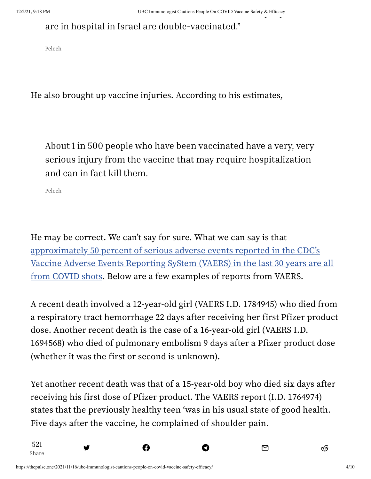## are in hospital in Israel are double-vaccinated."

Pelech

He also brought up vaccine injuries. According to his estimates,

About 1 in 500 people who have been vaccinated have a very, very serious injury from the vaccine that may require hospitalization and can in fact kill them.

Pelech

Share

521

He may be correct. We can't say for sure. What we can say is that [approximately](https://thepulse.one/2021/11/08/50-of-serious-vaccine-injuries-reported-in-last-30-years-are-from-covid-shots/) 50 percent of serious adverse events reported in the CDC's Vaccine Adverse Events Reporting SyStem (VAERS) in the last 30 years are all from COVID shots. Below are a few examples of reports from VAERS.

A recent death involved a 12-year-old girl (VAERS I.D. 1784945) who died from a respiratory tract hemorrhage 22 days after receiving her first Pfizer product dose. Another recent death is the case of a 16-year-old girl (VAERS I.D. 1694568) who died of pulmonary embolism 9 days after a Pfizer product dose (whether it was the first or second is unknown).

Yet another recent death was that of a 15-year-old boy who died six days after receiving his first dose of Pfizer product. The VAERS report (I.D. 1764974) states that the previously healthy teen 'was in his usual state of good health. Five days after the vaccine, he complained of shoulder pain.

 $\mathbf{B}$  is a friend at a co[mmunity](https://t.me/share/url?&text=UBC%20Immunologist%20Cautions%20People%20On%20COVID%20Vaccine%20Safety%20%26%20Efficacy&url=https://thepulse.one/2021/11/16/ubc-immunologist-cautions-people-on-covid-vaccine-safety-efficacy/) point  $\mathbf{C}$ 

त्र अपनी अधिका छ । अस्ति । अस्ति । अस्ति । अस्ति । अस्ति । अस्ति । अस्ति । अस्ति । अस्ति । अस्ति । अस्ति । अस्<br>स्रोतिका । अस्ति । अस्ति । अस्ति । अस्ति । अस्ति । अस्ति । अस्ति । अस्ति । अस्ति । अस्ति । अस्ति । अस्ति । अस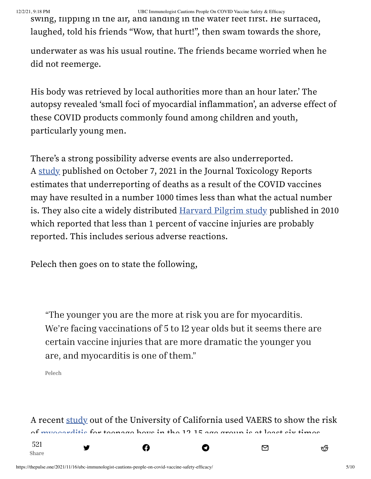swing, flipping in the air, and landing in the water feet first. He surfaced, laughed, told his friends "Wow, that hurt!" , then swam towards the shore,

underwater as was his usual routine. The friends became worried when he did not reemerge.

His body was retrieved by local authorities more than an hour later.' The autopsy revealed 'small foci of myocardial inflammation' , an adverse effect of these COVID products commonly found among children and youth, particularly young men.

There's a strong possibility adverse events are also underreported. A [study](https://www.ncbi.nlm.nih.gov/labs/pmc/articles/PMC7581376/#bib0695) published on October 7, 2021 in the Journal Toxicology Reports estimates that underreporting of deaths as a result of the COVID vaccines may have resulted in a number 1000 times less than what the actual number is. They also cite a widely distributed [Harvard](https://digital.ahrq.gov/ahrq-funded-projects/electronic-support-public-health-vaccine-adverse-event-reporting-system) Pilgrim study published in 2010 which reported that less than 1 percent of vaccine injuries are probably reported. This includes serious adverse reactions.

Pelech then goes on to state the following,

"The younger you are the more at risk you are for myocarditis. We're facing vaccinations of 5 to 12 year olds but it seems there are certain vaccine injuries that are more dramatic the younger you are, and myocarditis is one of them."

Pelech

521

A recent [study](https://thepulse.one/2021/09/18/fully-vaxxed-teenage-boys-more-likely-to-have-vaccine-induced-heart-problems-than-be-hospitalized-for-covid/) out of the University of California used VAERS to show the risk of myoonralitie for teenage boys in the 19-15 age group is at least six times

त्र अपनी अधिका छ । अस्ति । अस्ति । अस्ति । अस्ति । अस्ति । अस्ति । अस्ति । अस्ति । अस्ति । अस्ति । अस्ति । अस्<br>स्रोतिका । अस्ति । अस्ति । अस्ति । अस्ति । अस्ति । अस्ति । अस्ति । अस्ति । अस्ति । अस्ति । अस्ति । अस्ति । अस

 $G$  is the [Pfizer](https://www.facebook.com/sharer.php?u=https://thepulse.one/2021/11/16/ubc-immunologist-cautions-people-on-covid-vaccine-safety-efficacy/) [vaccine](https://t.me/share/url?&text=UBC%20Immunologist%20Cautions%20People%20On%20COVID%20Vaccine%20Safety%20%26%20Efficacy&url=https://thepulse.one/2021/11/16/ubc-immunologist-cautions-people-on-covid-vaccine-safety-efficacy/) to the Pfizer vaccine than being  $\Theta$  is the Pfizer vaccine than being  $\Theta$  is the Pfizer vaccine to the Pfizer vaccine to the Pfizer vaccine to the Pfizer vaccine to the Pfizer vaccine to the Pf

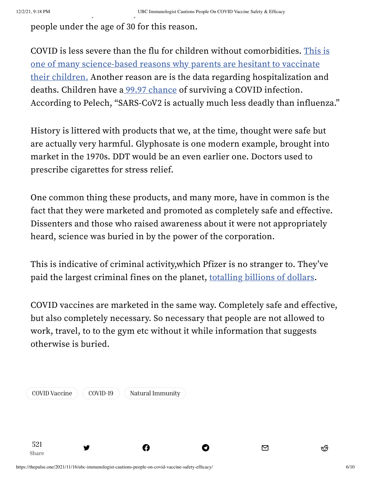people under the age of 30 for this reason.

COVID is less severe than the flu for children without comorbidities. This is one of many science-based reasons why parents are hesitant to vaccinate their children. Another reason are is the data regarding [hospitalization](https://thepulse.one/2021/10/06/3-science-based-reasons-why-parents-are-hesitant-about-covid-vaccination/) and deaths. Children have a 99.97 [chance](https://www.medrxiv.org/content/10.1101/2021.07.08.21260210v1) of surviving a COVID infection. According to Pelech, "SARS-CoV2 is actually much less deadly than influenza."

History is littered with products that we, at the time, thought were safe but are actually very harmful. Glyphosate is one modern example, brought into market in the 1970s. DDT would be an even earlier one. Doctors used to prescribe cigarettes for stress relief.

One common thing these products, and many more, have in common is the fact that they were marketed and promoted as completely safe and effective. Dissenters and those who raised awareness about it were not appropriately heard, science was buried in by the power of the corporation.

This is indicative of criminal activity,which Pfizer is no stranger to. They've paid the largest criminal fines on the planet, [totalling](https://thepulse.one/2021/09/17/pfizer-has-been-assessed-billions-in-criminal-convictions/) billions of dollars.

COVID vaccines are marketed in the same way. Completely safe and effective, but also completely necessary. So necessary that people are not allowed to work, travel, to to the gym etc without it while information that suggests otherwise is buried.

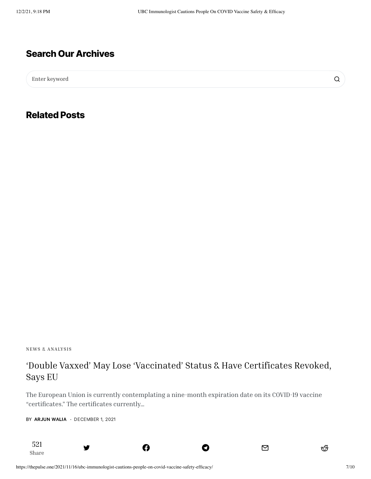#### **Search Our Archives**

Enter keyword

**Related Posts**

NEWS & [ANALYSIS](https://thepulse.one/category/news-analysis/)

[Share](https://thepulse.one/2021/11/29/in-many-cases-the-ufo-phenomenon-approaches-the-airplane-ex-nasa-scientist-explains/)

521

#### 'Double Vaxxed' May Lose ['Vaccinated'](https://thepulse.one/2021/12/01/double-vaxxed-may-lose-vaccinated-status-have-certificates-revoked-says-eu/) Status & Have Certificates Revoked, Says EU

The European Union is currently contemplating a nine-month expiration date on its COVID-19 vaccine "certificates." The certificates currently…

त्र अपनी अधिका छ । अस्ति । अस्ति । अस्ति । अस्ति । अस्ति । अस्ति । अस्ति । अस्ति । अस्ति । अस्ति । अस्ति । अस्<br>स्रोतिका । अस्ति । अस्ति । अस्ति । अस्ति । अस्ति । अस्ति । अस्ति । अस्ति । अस्ति । अस्ति । अस्ति । अस्ति । अस

BY [ARJUN](https://thepulse.one/author/arjunw/) WALIA · DECEMBER 1, 2021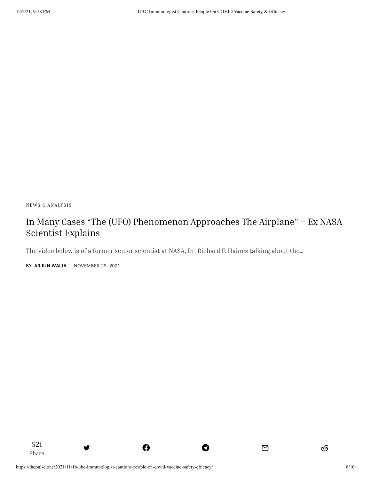NEWS & [ANALYSIS](https://thepulse.one/category/news-analysis/)

[Share](https://thepulse.one/2021/11/28/omicron-showing-mild-symptoms-says-doctor-who-first-discovered-strain-no-need-for-alarm-yet/)

521

### In Many Cases "The (UFO) [Phenomenon](https://thepulse.one/2021/11/29/in-many-cases-the-ufo-phenomenon-approaches-the-airplane-ex-nasa-scientist-explains/) Approaches The Airplane" – Ex NASA Scientist Explains

त्र अपनी अधिका छ । अस्ति । अस्ति । अस्ति । अस्ति । अस्ति । अस्ति । अस्ति । अस्ति । अस्ति । अस्ति । अस्ति । अस्<br>स्रोतिका । अस्ति । अस्ति । अस्ति । अस्ति । अस्ति । अस्ति । अस्ति । अस्ति । अस्ति । अस्ति । अस्ति । अस्ति । अस

The video below is of a former senior scientist at NASA, Dr. Richard F. Haines talking about the…

BY [ARJUN](https://thepulse.one/author/arjunw/) WALIA · NOVEMBER 29, 2021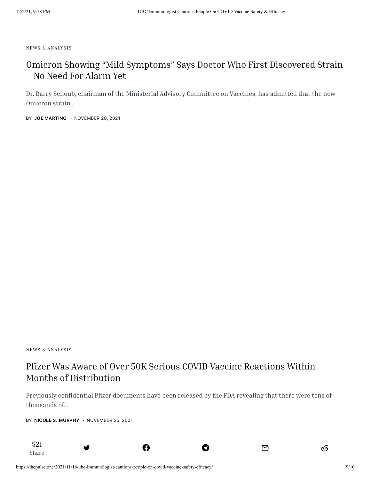NEWS & [ANALYSIS](https://thepulse.one/category/news-analysis/)

#### Omicron Showing "Mild [Symptoms"](https://thepulse.one/2021/11/28/omicron-showing-mild-symptoms-says-doctor-who-first-discovered-strain-no-need-for-alarm-yet/) Says Doctor Who First Discovered Strain – No Need For Alarm Yet

Dr. Barry Schoub, chairman of the Ministerial Advisory Committee on Vaccines, has admitted that the new Omicron strain…

BY JOE [MARTINO](https://thepulse.one/author/joem/) · NOVEMBER 28, 2021

NEWS & [ANALYSIS](https://thepulse.one/category/news-analysis/)

#### Pfizer Was Aware of Over 50K Serious COVID Vaccine Reactions Within Months of [Distribution](https://thepulse.one/2021/11/25/pfizer-was-aware-of-over-50k-serious-covid-vaccine-reactions-with-months-of-distribution/)

Previously confidential Pfizer documents have been released by the FDA revealing that there were tens of thousands of…

त्र अपनी अधिका छ । अस्ति । अस्ति । अस्ति । अस्ति । अस्ति । अस्ति । अस्ति । अस्ति । अस्ति । अस्ति । अस्ति । अस्<br>स्रोतिका । अस्ति । अस्ति । अस्ति । अस्ति । अस्ति । अस्ति । अस्ति । अस्ति । अस्ति । अस्ति । अस्ति । अस्ति । अस

BY NICOLE S. [MURPHY](https://thepulse.one/author/nicolem/) · NOVEMBER 25, 2021